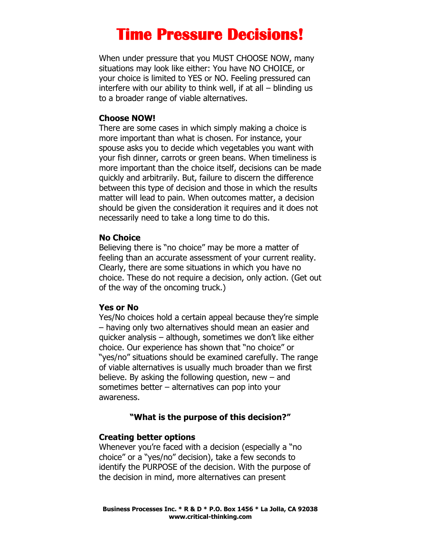# **Time Pressure Decisions!**

When under pressure that you MUST CHOOSE NOW, many situations may look like either: You have NO CHOICE, or your choice is limited to YES or NO. Feeling pressured can interfere with our ability to think well, if at all – blinding us to a broader range of viable alternatives.

#### **Choose NOW!**

There are some cases in which simply making a choice is more important than what is chosen. For instance, your spouse asks you to decide which vegetables you want with your fish dinner, carrots or green beans. When timeliness is more important than the choice itself, decisions can be made quickly and arbitrarily. But, failure to discern the difference between this type of decision and those in which the results matter will lead to pain. When outcomes matter, a decision should be given the consideration it requires and it does not necessarily need to take a long time to do this.

#### **No Choice**

Believing there is "no choice" may be more a matter of feeling than an accurate assessment of your current reality. Clearly, there are some situations in which you have no choice. These do not require a decision, only action. (Get out of the way of the oncoming truck.)

#### **Yes or No**

Yes/No choices hold a certain appeal because they're simple – having only two alternatives should mean an easier and quicker analysis – although, sometimes we don't like either choice. Our experience has shown that "no choice" or "yes/no" situations should be examined carefully. The range of viable alternatives is usually much broader than we first believe. By asking the following question, new  $-$  and sometimes better – alternatives can pop into your awareness.

### **"What is the purpose of this decision?"**

## **Creating better options**

Whenever you're faced with a decision (especially a "no choice" or a "yes/no" decision), take a few seconds to identify the PURPOSE of the decision. With the purpose of the decision in mind, more alternatives can present